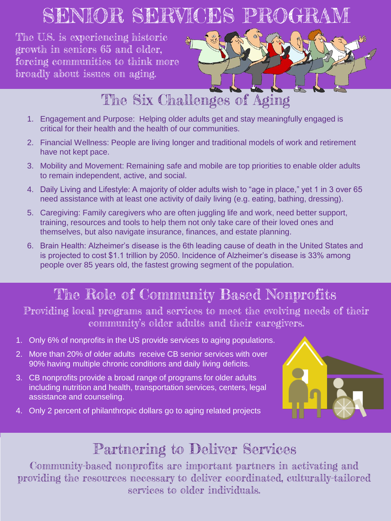# SENIOR SERVICES PROGRAM

The U.S. is experiencing historic growth in seniors 65 and older, forcing communities to think more broadly about issues on aging.



### The Six Challenges of Aging

- 1. Engagement and Purpose: Helping older adults get and stay meaningfully engaged is critical for their health and the health of our communities.
- 2. Financial Wellness: People are living longer and traditional models of work and retirement have not kept pace.
- 3. Mobility and Movement: Remaining safe and mobile are top priorities to enable older adults to remain independent, active, and social.
- 4. Daily Living and Lifestyle: A majority of older adults wish to "age in place," yet 1 in 3 over 65 need assistance with at least one activity of daily living (e.g. eating, bathing, dressing).
- 5. Caregiving: Family caregivers who are often juggling life and work, need better support, training, resources and tools to help them not only take care of their loved ones and themselves, but also navigate insurance, finances, and estate planning.
- 6. Brain Health: Alzheimer's disease is the 6th leading cause of death in the United States and is projected to cost \$1.1 trillion by 2050. Incidence of Alzheimer's disease is 33% among people over 85 years old, the fastest growing segment of the population.

## The Role of Community Based Nonprofits

Providing local programs and services to meet the evolving needs of their community's older adults and their caregivers.

- 1. Only 6% of nonprofits in the US provide services to aging populations.
- 2. More than 20% of older adults receive CB senior services with over 90% having multiple chronic conditions and daily living deficits.
- 3. CB nonprofits provide a broad range of programs for older adults including nutrition and health, transportation services, centers, legal assistance and counseling.
- 4. Only 2 percent of philanthropic dollars go to aging related projects



#### Partnering to Deliver Services

Community-based nonprofits are important partners in activating and providing the resources necessary to deliver coordinated, culturally-tailored services to older individuals.